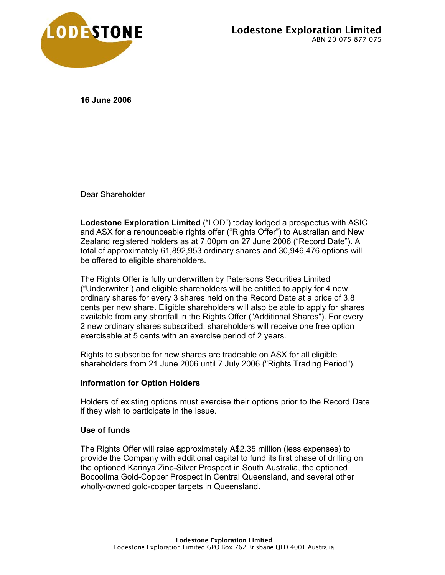

**16 June 2006** 

Dear Shareholder

**Lodestone Exploration Limited** ("LOD") today lodged a prospectus with ASIC and ASX for a renounceable rights offer ("Rights Offer") to Australian and New Zealand registered holders as at 7.00pm on 27 June 2006 ("Record Date"). A total of approximately 61,892,953 ordinary shares and 30,946,476 options will be offered to eligible shareholders.

The Rights Offer is fully underwritten by Patersons Securities Limited ("Underwriter") and eligible shareholders will be entitled to apply for 4 new ordinary shares for every 3 shares held on the Record Date at a price of 3.8 cents per new share. Eligible shareholders will also be able to apply for shares available from any shortfall in the Rights Offer ("Additional Shares"). For every 2 new ordinary shares subscribed, shareholders will receive one free option exercisable at 5 cents with an exercise period of 2 years.

Rights to subscribe for new shares are tradeable on ASX for all eligible shareholders from 21 June 2006 until 7 July 2006 ("Rights Trading Period").

# **Information for Option Holders**

Holders of existing options must exercise their options prior to the Record Date if they wish to participate in the Issue.

### **Use of funds**

The Rights Offer will raise approximately A\$2.35 million (less expenses) to provide the Company with additional capital to fund its first phase of drilling on the optioned Karinya Zinc-Silver Prospect in South Australia, the optioned Bocoolima Gold-Copper Prospect in Central Queensland, and several other wholly-owned gold-copper targets in Queensland.